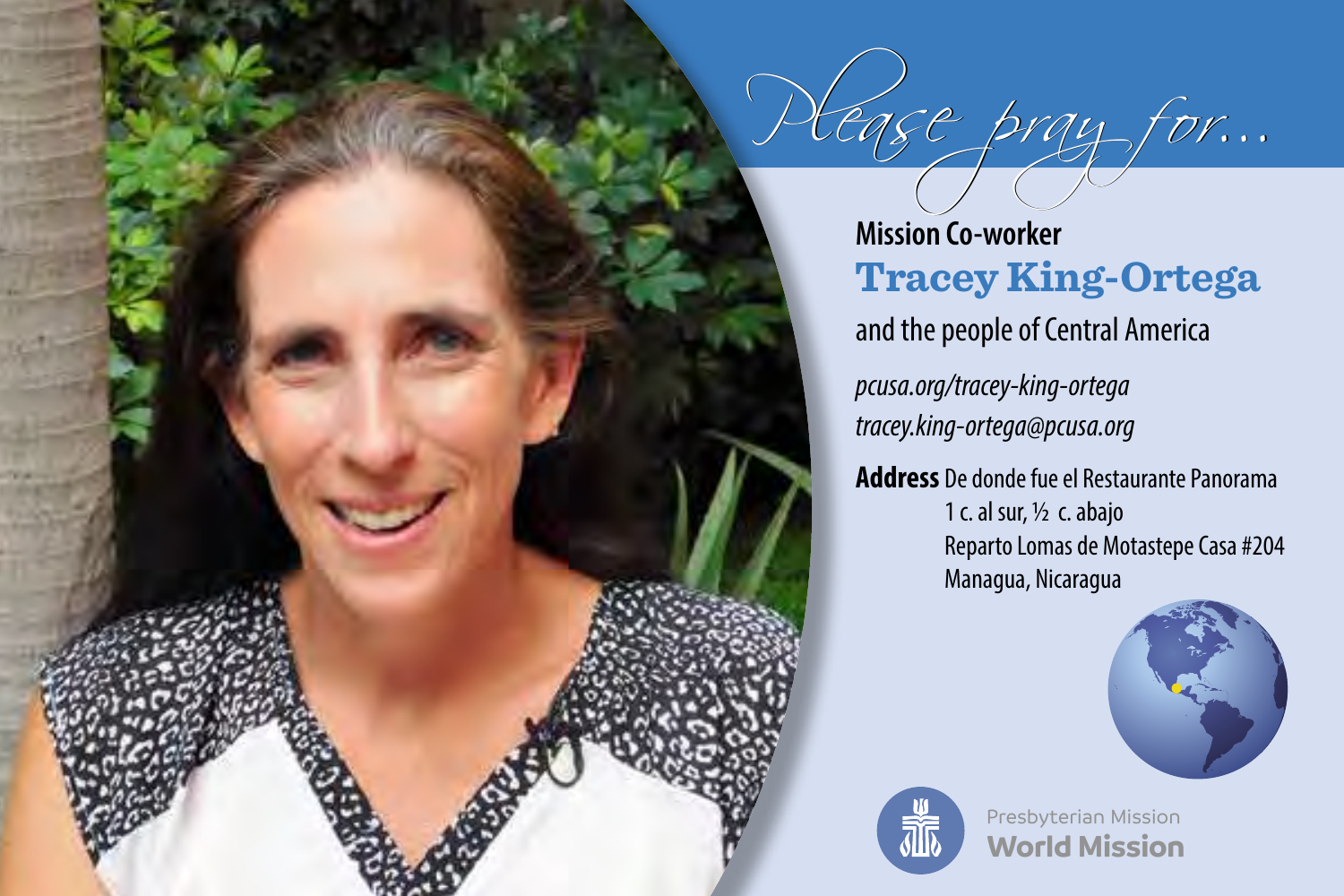

ase pray for...

*pcusa.org/tracey-king-ortega tracey.king-ortega@pcusa.org*

**Address** De donde fue el Restaurante Panorama 1 c. al sur, ½ c. abajo Reparto Lomas de Motastepe Casa #204 Managua, Nicaragua





**World Mission** Presbyterian Mission